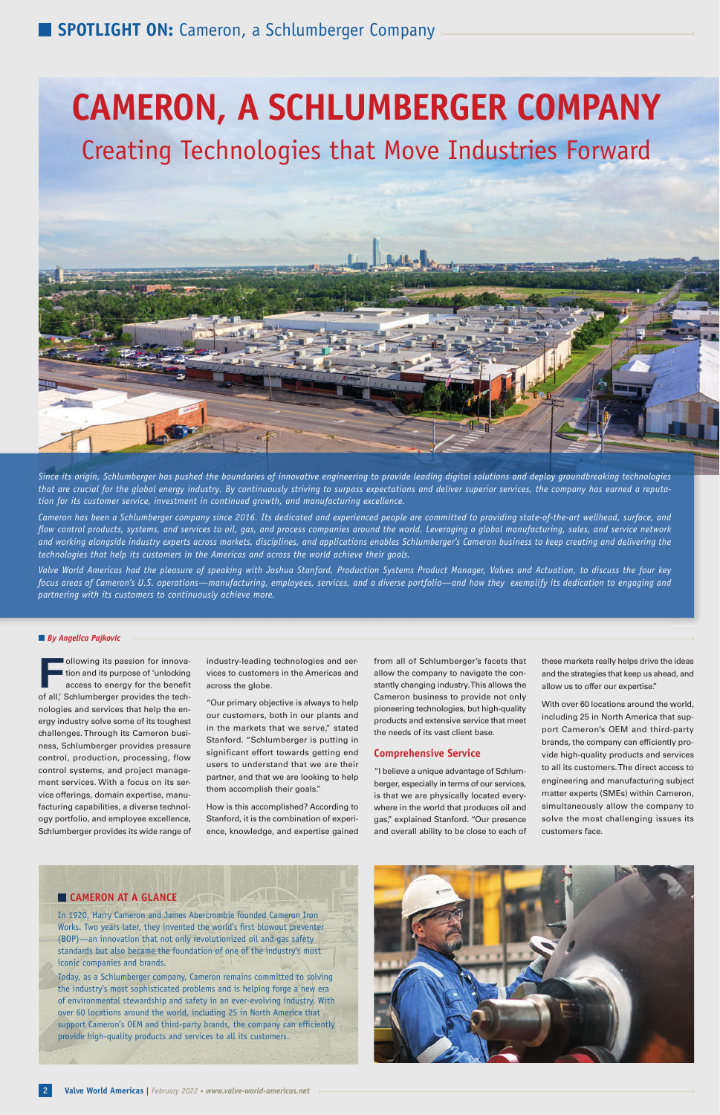# **CAMERON, A SCHLUMBERGER COMPANY**

#### *By Angelica Pajkovic*

**Following its passion for innovation and its purpose of 'unlocking<br>access to energy for the benefit** tion and its purpose of 'unlocking access to energy for the benefit of all,' Schlumberger provides the technologies and services that help the energy industry solve some of its toughest challenges. Through its Cameron business, Schlumberger provides pressure control, production, processing, flow control systems, and project management services. With a focus on its service offerings, domain expertise, manufacturing capabilities, a diverse technology portfolio, and employee excellence, Schlumberger provides its wide range of

industry-leading technologies and services to customers in the Americas and across the globe.

"Our primary objective is always to help our customers, both in our plants and in the markets that we serve," stated Stanford. "Schlumberger is putting in significant effort towards getting end users to understand that we are their partner, and that we are looking to help them accomplish their goals."

How is this accomplished? According to Stanford, it is the combination of experience, knowledge, and expertise gained from all of Schlumberger's facets that allow the company to navigate the constantly changing industry. This allows the Cameron business to provide not only pioneering technologies, but high-quality products and extensive service that meet the needs of its vast client base.

#### **Comprehensive Service**

"I believe a unique advantage of Schlumberger, especially in terms of our services, is that we are physically located everywhere in the world that produces oil and gas," explained Stanford. "Our presence and overall ability to be close to each of these markets really helps drive the ideas and the strategies that keep us ahead, and allow us to offer our expertise."

With over 60 locations around the world, including 25 in North America that support Cameron's OEM and third-party brands, the company can efficiently provide high-quality products and services to all its customers. The direct access to engineering and manufacturing subject matter experts (SMEs) within Cameron, simultaneously allow the company to solve the most challenging issues its customers face.

In 1920, Harry Cameron and James Abercrombie founded Cameron Iron Works. Two years later, they invented the world's first blowout preventer (BOP)—an innovation that not only revolutionized oil and gas safety standards but also became the foundation of one of the industry's most iconic companies and brands.

Today, as a Schlumberger company, Cameron remains committed to solving the industry's most sophisticated problems and is helping forge a new era of environmental stewardship and safety in an ever-evolving industry. With over 60 locations around the world, including 25 in North America that support Cameron's OEM and third-party brands, the company can efficiently provide high-quality products and services to all its customers.



# **CAMERON AT A GLANCE**

Creating Technologies that Move Industries Forward



*Since its origin, Schlumberger has pushed the boundaries of innovative engineering to provide leading digital solutions and deploy groundbreaking technologies that are crucial for the global energy industry. By continuously striving to surpass expectations and deliver superior services, the company has earned a reputation for its customer service, investment in continued growth, and manufacturing excellence.* 

*Cameron has been a Schlumberger company since 2016. Its dedicated and experienced people are committed to providing state-of-the-art wellhead, surface, and*  flow control products, systems, and services to oil, gas, and process companies around the world. Leveraging a global manufacturing, sales, and service network *and working alongside industry experts across markets, disciplines, and applications enables Schlumberger's Cameron business to keep creating and delivering the technologies that help its customers in the Americas and across the world achieve their goals.*

*Valve World Americas had the pleasure of speaking with Joshua Stanford, Production Systems Product Manager, Valves and Actuation, to discuss the four key focus areas of Cameron's U.S. operations—manufacturing, employees, services, and a diverse portfolio—and how they exemplify its dedication to engaging and partnering with its customers to continuously achieve more.*